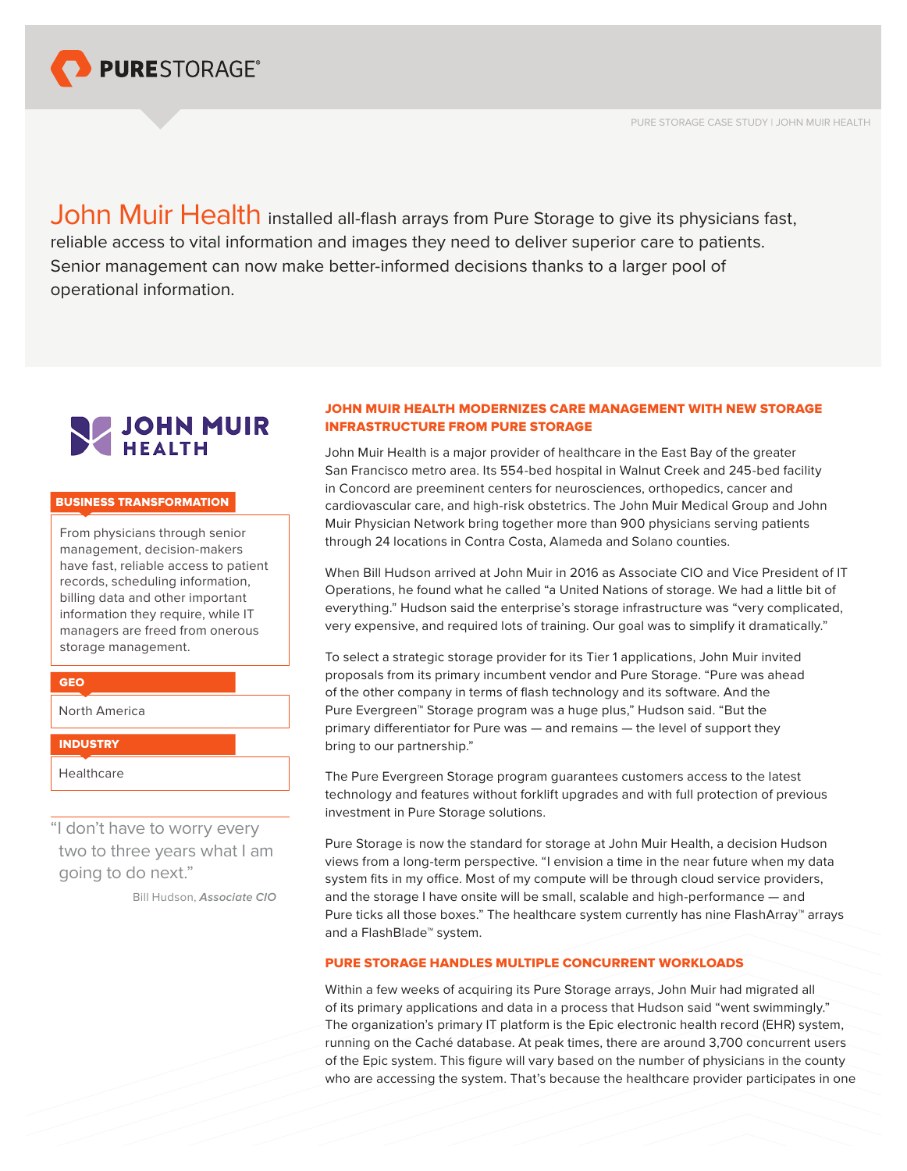

PURE STORAGE CASE STUDY | JOHN MUIR HEALTH

John Muir Health installed all-flash arrays from Pure Storage to give its physicians fast, reliable access to vital information and images they need to deliver superior care to patients. Senior management can now make better-informed decisions thanks to a larger pool of operational information.



#### BUSINESS TRANSFORMATION

From physicians through senior management, decision-makers have fast, reliable access to patient records, scheduling information, billing data and other important information they require, while IT managers are freed from onerous storage management.

North America

GEO

**INDUSTRY** 

Healthcare

"I don't have to worry every two to three years what I am going to do next."

Bill Hudson, *Associate CIO*

# JOHN MUIR HEALTH MODERNIZES CARE MANAGEMENT WITH NEW STORAGE INFRASTRUCTURE FROM PURE STORAGE

John Muir Health is a major provider of healthcare in the East Bay of the greater San Francisco metro area. Its 554-bed hospital in Walnut Creek and 245-bed facility in Concord are preeminent centers for neurosciences, orthopedics, cancer and cardiovascular care, and high-risk obstetrics. The John Muir Medical Group and John Muir Physician Network bring together more than 900 physicians serving patients through 24 locations in Contra Costa, Alameda and Solano counties.

When Bill Hudson arrived at John Muir in 2016 as Associate CIO and Vice President of IT Operations, he found what he called "a United Nations of storage. We had a little bit of everything." Hudson said the enterprise's storage infrastructure was "very complicated, very expensive, and required lots of training. Our goal was to simplify it dramatically."

To select a strategic storage provider for its Tier 1 applications, John Muir invited proposals from its primary incumbent vendor and Pure Storage. "Pure was ahead of the other company in terms of flash technology and its software. And the Pure Evergreen™ Storage program was a huge plus," Hudson said. "But the primary differentiator for Pure was — and remains — the level of support they bring to our partnership."

The Pure Evergreen Storage program guarantees customers access to the latest technology and features without forklift upgrades and with full protection of previous investment in Pure Storage solutions.

Pure Storage is now the standard for storage at John Muir Health, a decision Hudson views from a long-term perspective. "I envision a time in the near future when my data system fits in my office. Most of my compute will be through cloud service providers, and the storage I have onsite will be small, scalable and high-performance — and Pure ticks all those boxes." The healthcare system currently has nine FlashArray™ arrays and a FlashBlade™ system.

# PURE STORAGE HANDLES MULTIPLE CONCURRENT WORKLOADS

Within a few weeks of acquiring its Pure Storage arrays, John Muir had migrated all of its primary applications and data in a process that Hudson said "went swimmingly." The organization's primary IT platform is the Epic electronic health record (EHR) system, running on the Caché database. At peak times, there are around 3,700 concurrent users of the Epic system. This figure will vary based on the number of physicians in the county who are accessing the system. That's because the healthcare provider participates in one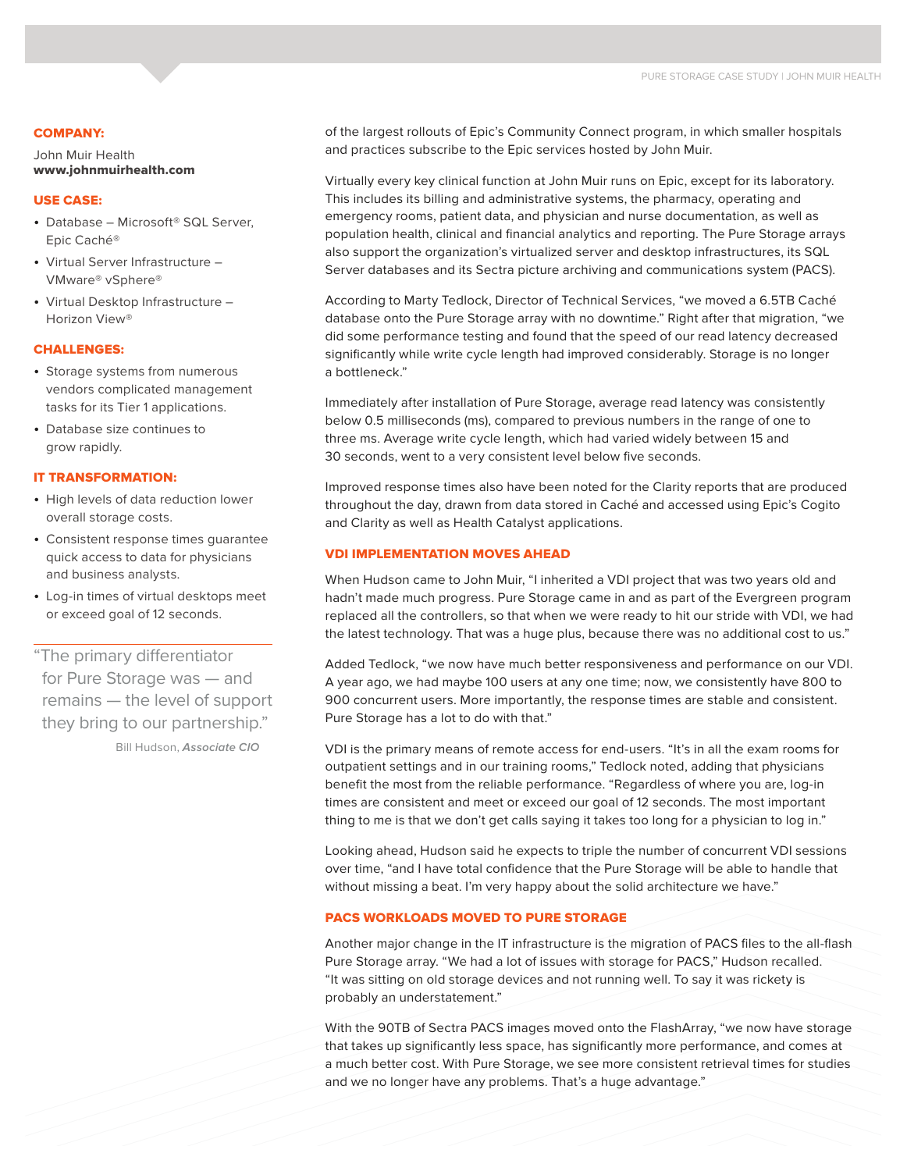#### COMPANY:

John Muir Health www.johnmuirhealth.com

## USE CASE:

- Database Microsoft® SQL Server, Epic Caché®
- Virtual Server Infrastructure VMware® vSphere®
- Virtual Desktop Infrastructure Horizon View®

## CHALLENGES:

- Storage systems from numerous vendors complicated management tasks for its Tier 1 applications.
- • Database size continues to grow rapidly.

#### IT TRANSFORMATION:

- High levels of data reduction lower overall storage costs.
- • Consistent response times guarantee quick access to data for physicians and business analysts.
- • Log-in times of virtual desktops meet or exceed goal of 12 seconds.

"The primary differentiator for Pure Storage was — and remains — the level of support they bring to our partnership."

Bill Hudson, *Associate CIO*

of the largest rollouts of Epic's Community Connect program, in which smaller hospitals and practices subscribe to the Epic services hosted by John Muir.

Virtually every key clinical function at John Muir runs on Epic, except for its laboratory. This includes its billing and administrative systems, the pharmacy, operating and emergency rooms, patient data, and physician and nurse documentation, as well as population health, clinical and financial analytics and reporting. The Pure Storage arrays also support the organization's virtualized server and desktop infrastructures, its SQL Server databases and its Sectra picture archiving and communications system (PACS).

According to Marty Tedlock, Director of Technical Services, "we moved a 6.5TB Caché database onto the Pure Storage array with no downtime." Right after that migration, "we did some performance testing and found that the speed of our read latency decreased significantly while write cycle length had improved considerably. Storage is no longer a bottleneck."

Immediately after installation of Pure Storage, average read latency was consistently below 0.5 milliseconds (ms), compared to previous numbers in the range of one to three ms. Average write cycle length, which had varied widely between 15 and 30 seconds, went to a very consistent level below five seconds.

Improved response times also have been noted for the Clarity reports that are produced throughout the day, drawn from data stored in Caché and accessed using Epic's Cogito and Clarity as well as Health Catalyst applications.

#### VDI IMPLEMENTATION MOVES AHEAD

When Hudson came to John Muir, "I inherited a VDI project that was two years old and hadn't made much progress. Pure Storage came in and as part of the Evergreen program replaced all the controllers, so that when we were ready to hit our stride with VDI, we had the latest technology. That was a huge plus, because there was no additional cost to us."

Added Tedlock, "we now have much better responsiveness and performance on our VDI. A year ago, we had maybe 100 users at any one time; now, we consistently have 800 to 900 concurrent users. More importantly, the response times are stable and consistent. Pure Storage has a lot to do with that."

VDI is the primary means of remote access for end-users. "It's in all the exam rooms for outpatient settings and in our training rooms," Tedlock noted, adding that physicians benefit the most from the reliable performance. "Regardless of where you are, log-in times are consistent and meet or exceed our goal of 12 seconds. The most important thing to me is that we don't get calls saying it takes too long for a physician to log in."

Looking ahead, Hudson said he expects to triple the number of concurrent VDI sessions over time, "and I have total confidence that the Pure Storage will be able to handle that without missing a beat. I'm very happy about the solid architecture we have."

#### PACS WORKLOADS MOVED TO PURE STORAGE

Another major change in the IT infrastructure is the migration of PACS files to the all-flash Pure Storage array. "We had a lot of issues with storage for PACS," Hudson recalled. "It was sitting on old storage devices and not running well. To say it was rickety is probably an understatement."

With the 90TB of Sectra PACS images moved onto the FlashArray, "we now have storage that takes up significantly less space, has significantly more performance, and comes at a much better cost. With Pure Storage, we see more consistent retrieval times for studies and we no longer have any problems. That's a huge advantage."